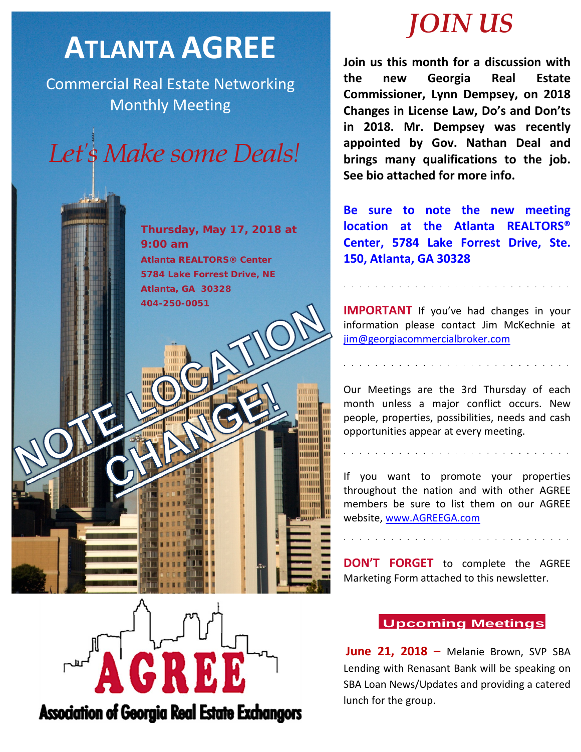# **ATLANTA AGREE**

Commercial Real Estate Networking Monthly Meeting



**Thursday, May 17, 2018 at 9:00 am Atlanta REALTORS® Center 5784 Lake Forrest Drive, NE Atlanta, GA 30328 404-250-0051**

गागाग

mm m

## *JOIN US*

**Join us this month for a discussion with the new Georgia Real Estate Commissioner, Lynn Dempsey, on 2018 Changes in License Law, Do's and Don'ts in 2018. Mr. Dempsey was recently appointed by Gov. Nathan Deal and brings many qualifications to the job. See bio attached for more info.**

**Be sure to note the new meeting location at the Atlanta REALTORS® Center, 5784 Lake Forrest Drive, Ste. 150, Atlanta, GA 30328**

**IMPORTANT** If you've had changes in your information please contact Jim McKechnie at [jim@georgiacommercialbroker.com](mailto:jim@georgiacommercialbroker.com?subject=Changes%20to%20My%20Account)

Our Meetings are the 3rd Thursday of each month unless a major conflict occurs. New people, properties, possibilities, needs and cash opportunities appear at every meeting.

If you want to promote your properties throughout the nation and with other AGREE members be sure to list them on our AGREE website, www.AGREEGA.com

**DON'T FORGET** to complete the AGREE Marketing Form attached to this newsletter.

### **Upcoming Meetings**

**June 21, 2018 –** Melanie Brown, SVP SBA Lending with Renasant Bank will be speaking on SBA Loan News/Updates and providing a catered lunch for the group.



**Association of Georgia Real Estate Exchangors**